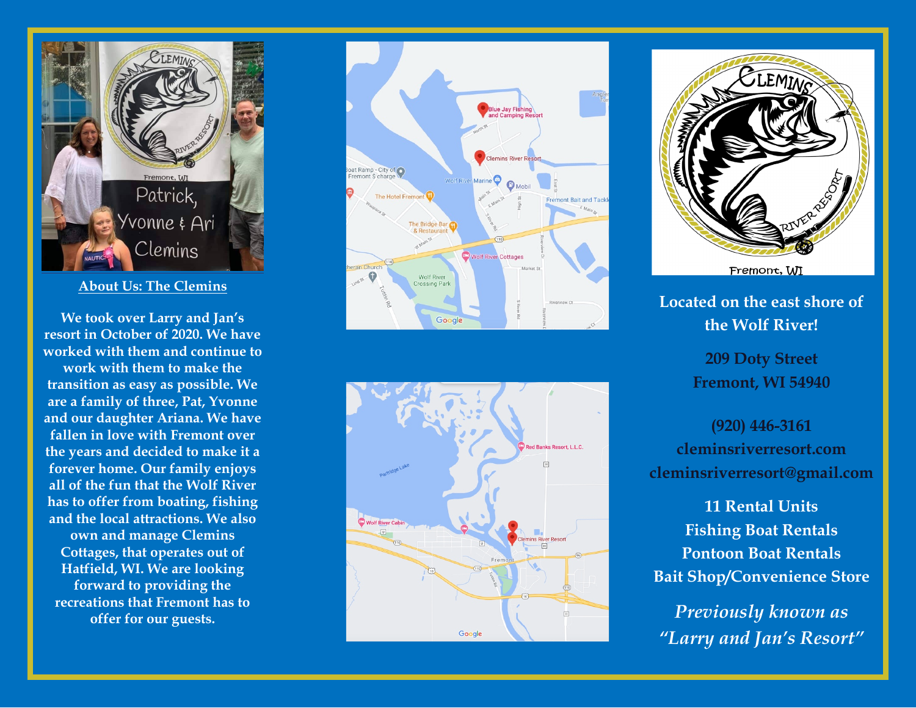

#### **About Us: The Clemins**

**We took over Larry and Jan's resort in October of 2020. We have worked with them and continue to work with them to make the transition as easy as possible. We are a family of three, Pat, Yvonne and our daughter Ariana. We have fallen in love with Fremont over the years and decided to make it a forever home. Our family enjoys all of the fun that the Wolf River has to offer from boating, fishing and the local attractions. We also own and manage Clemins Cottages, that operates out of Hatfield, WI. We are looking forward to providing the recreations that Fremont has to** 







**Located on the east shore of the Wolf River!**

> **209 Doty Street Fremont, WI 54940**

**(920) 446 -3161 cleminsriverresort.com cleminsriverresort@gmail.com**

**11 Rental Units Fishing Boat Rentals Pontoon Boat Rentals Bait Shop/Convenience Store**

*"Larry and Jan's Resort"*